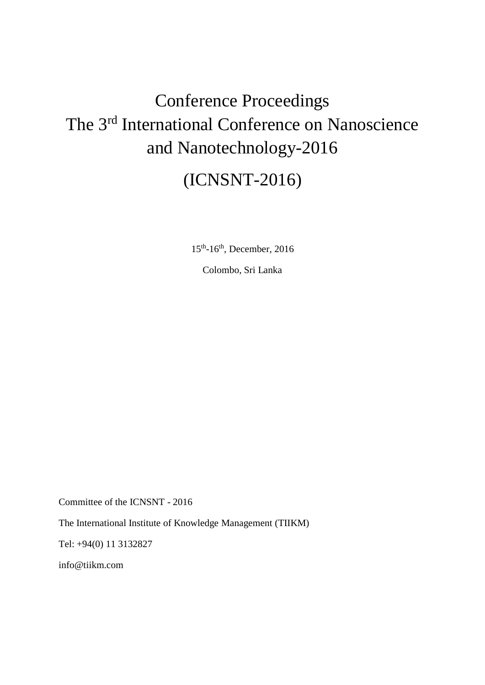# Conference Proceedings The 3rd International Conference on Nanoscience and Nanotechnology-2016

# (ICNSNT-2016)

15<sup>th</sup>-16<sup>th</sup>, December, 2016

Colombo, Sri Lanka

Committee of the ICNSNT - 2016

The International Institute of Knowledge Management (TIIKM)

Tel: +94(0) 11 3132827

info@tiikm.com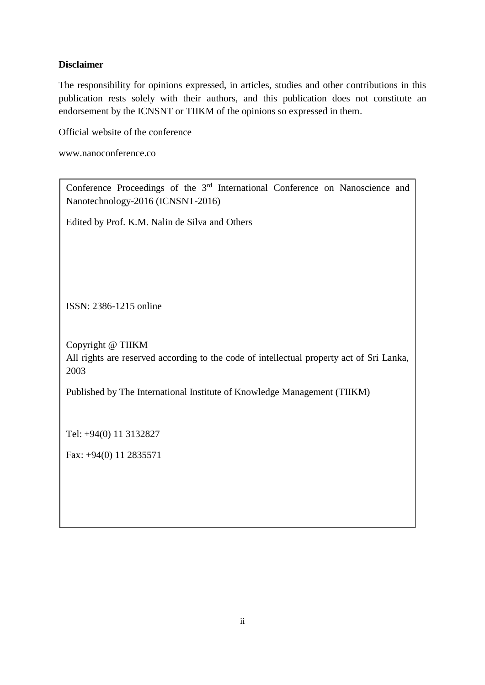# **Disclaimer**

The responsibility for opinions expressed, in articles, studies and other contributions in this publication rests solely with their authors, and this publication does not constitute an endorsement by the ICNSNT or TIIKM of the opinions so expressed in them.

Official website of the conference

www.nanoconference.co

| Conference Proceedings of the 3 <sup>rd</sup> International Conference on Nanoscience and<br>Nanotechnology-2016 (ICNSNT-2016) |  |  |  |
|--------------------------------------------------------------------------------------------------------------------------------|--|--|--|
| Edited by Prof. K.M. Nalin de Silva and Others                                                                                 |  |  |  |
|                                                                                                                                |  |  |  |
|                                                                                                                                |  |  |  |
| ISSN: 2386-1215 online                                                                                                         |  |  |  |
| Copyright @ TIIKM                                                                                                              |  |  |  |
| All rights are reserved according to the code of intellectual property act of Sri Lanka,<br>2003                               |  |  |  |
| Published by The International Institute of Knowledge Management (TIIKM)                                                       |  |  |  |
|                                                                                                                                |  |  |  |
| Tel: +94(0) 11 3132827                                                                                                         |  |  |  |
| Fax: $+94(0)$ 11 2835571                                                                                                       |  |  |  |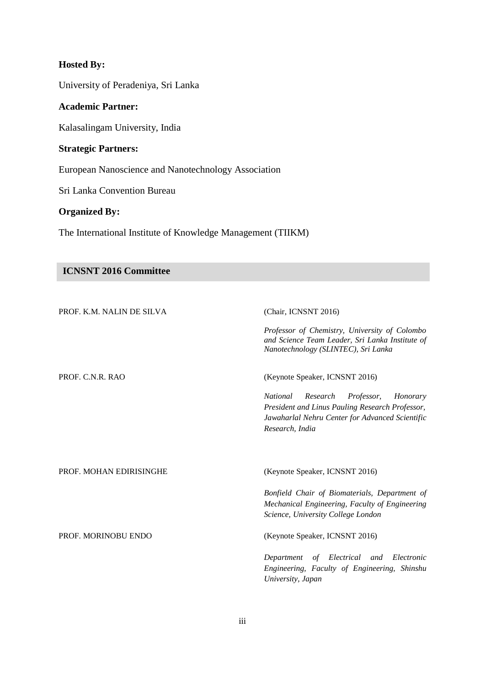# **Hosted By:**

University of Peradeniya, Sri Lanka

### **Academic Partner:**

Kalasalingam University, India

# **Strategic Partners:**

European Nanoscience and Nanotechnology Association

Sri Lanka Convention Bureau

# **Organized By:**

The International Institute of Knowledge Management (TIIKM)

### **ICNSNT 2016 Committee**

| PROF. K.M. NALIN DE SILVA | (Chair, ICNSNT 2016)                                                                                                                                                           |
|---------------------------|--------------------------------------------------------------------------------------------------------------------------------------------------------------------------------|
|                           | Professor of Chemistry, University of Colombo<br>and Science Team Leader, Sri Lanka Institute of<br>Nanotechnology (SLINTEC), Sri Lanka                                        |
| PROF. C.N.R. RAO          | (Keynote Speaker, ICNSNT 2016)                                                                                                                                                 |
|                           | Professor,<br><i>National</i><br>Research<br>Honorary<br>President and Linus Pauling Research Professor,<br>Jawaharlal Nehru Center for Advanced Scientific<br>Research, India |
| PROF. MOHAN EDIRISINGHE   | (Keynote Speaker, ICNSNT 2016)                                                                                                                                                 |
|                           | Bonfield Chair of Biomaterials, Department of<br>Mechanical Engineering, Faculty of Engineering<br>Science, University College London                                          |
| PROF. MORINOBU ENDO       | (Keynote Speaker, ICNSNT 2016)                                                                                                                                                 |
|                           | of Electrical and Electronic<br>Department<br>Engineering, Faculty of Engineering, Shinshu<br>University, Japan                                                                |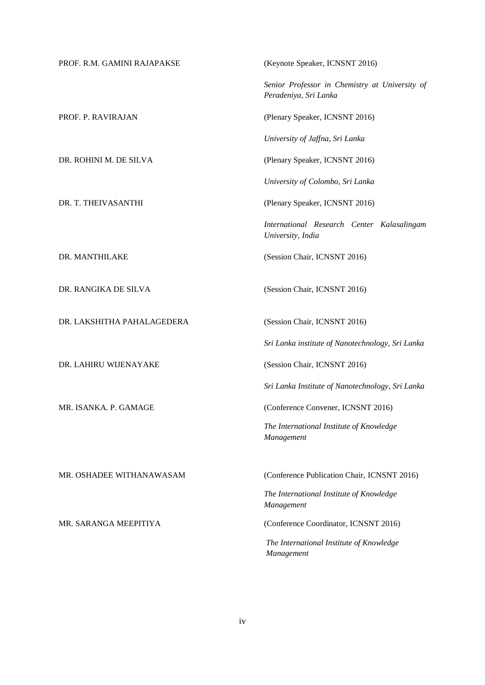| PROF. R.M. GAMINI RAJAPAKSE | (Keynote Speaker, ICNSNT 2016)                                          |
|-----------------------------|-------------------------------------------------------------------------|
|                             | Senior Professor in Chemistry at University of<br>Peradeniya, Sri Lanka |
| PROF. P. RAVIRAJAN          | (Plenary Speaker, ICNSNT 2016)                                          |
|                             | University of Jaffna, Sri Lanka                                         |
| DR. ROHINI M. DE SILVA      | (Plenary Speaker, ICNSNT 2016)                                          |
|                             | University of Colombo, Sri Lanka                                        |
| DR. T. THEIVASANTHI         | (Plenary Speaker, ICNSNT 2016)                                          |
|                             | International Research Center Kalasalingam<br>University, India         |
| DR. MANTHILAKE              | (Session Chair, ICNSNT 2016)                                            |
| DR. RANGIKA DE SILVA        | (Session Chair, ICNSNT 2016)                                            |
| DR. LAKSHITHA PAHALAGEDERA  | (Session Chair, ICNSNT 2016)                                            |
|                             | Sri Lanka institute of Nanotechnology, Sri Lanka                        |
| DR. LAHIRU WIJENAYAKE       | (Session Chair, ICNSNT 2016)                                            |
|                             | Sri Lanka Institute of Nanotechnology, Sri Lanka                        |
| MR. ISANKA. P. GAMAGE       | (Conference Convener, ICNSNT 2016)                                      |
|                             | The International Institute of Knowledge<br>Management                  |
|                             |                                                                         |
| MR. OSHADEE WITHANAWASAM    | (Conference Publication Chair, ICNSNT 2016)                             |
|                             | The International Institute of Knowledge<br>Management                  |
| MR. SARANGA MEEPITIYA       | (Conference Coordinator, ICNSNT 2016)                                   |
|                             | The International Institute of Knowledge<br>Management                  |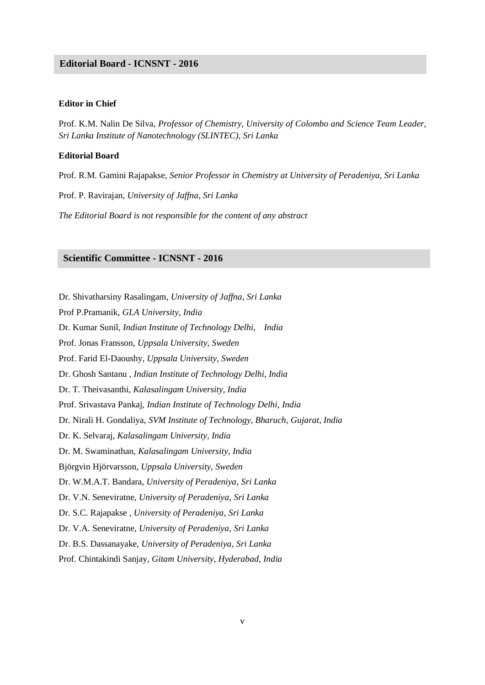#### **Editorial Board-ICOM 2013 Editorial Board - ICNSNT - 2016**

#### **Editor in Chief**

Prof. K.M. Nalin De Silva, *Professor of Chemistry, University of Colombo and Science Team Leader, Sri Lanka Institute of Nanotechnology (SLINTEC), Sri Lanka*

#### **Editorial Board**

Prof. R.M. Gamini Rajapakse, *Senior Professor in Chemistry at University of Peradeniya, Sri Lanka*

Prof. P. Ravirajan, *University of Jaffna, Sri Lanka*

*The Editorial Board is not responsible for the content of any abstract*

#### **Scientific Committee - ICNSNT - 2016**

Dr. Shivatharsiny Rasalingam, *University of Jaffna, Sri Lanka*

Prof P.Pramanik, *GLA University, India*

Dr. Kumar Sunil, *Indian Institute of Technology Delhi, India*

Prof. Jonas Fransson, *Uppsala University, Sweden*

Prof. Farid El-Daoushy, *Uppsala University, Sweden*

Dr. Ghosh Santanu , *Indian Institute of Technology Delhi, India*

Dr. T. Theivasanthi, *Kalasalingam University, India*

Prof. Srivastava Pankaj, *Indian Institute of Technology Delhi, India*

Dr. Nirali H. Gondaliya, *SVM Institute of Technology, Bharuch, Gujarat, India*

Dr. K. Selvaraj, *Kalasalingam University, India*

Dr. M. Swaminathan, *Kalasalingam University, India*

Björgvin Hjörvarsson, *Uppsala University, Sweden*

Dr. W.M.A.T. Bandara, *University of Peradeniya, Sri Lanka*

Dr. V.N. Seneviratne, *University of Peradeniya, Sri Lanka*

Dr. S.C. Rajapakse , *University of Peradeniya, Sri Lanka*

Dr. V.A. Seneviratne, *University of Peradeniya, Sri Lanka*

Dr. B.S. Dassanayake, *University of Peradeniya, Sri Lanka*

Prof. Chintakindi Sanjay, *Gitam University, Hyderabad, India*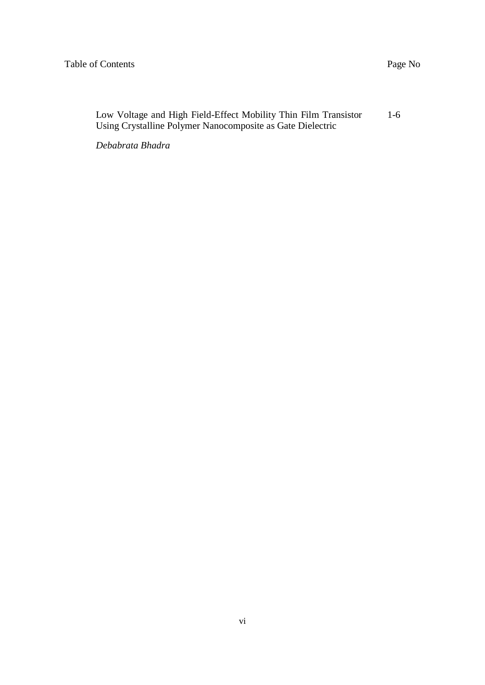| Low Voltage and High Field-Effect Mobility Thin Film Transistor | $1-6$ |
|-----------------------------------------------------------------|-------|
| Using Crystalline Polymer Nanocomposite as Gate Dielectric      |       |

*Debabrata Bhadra*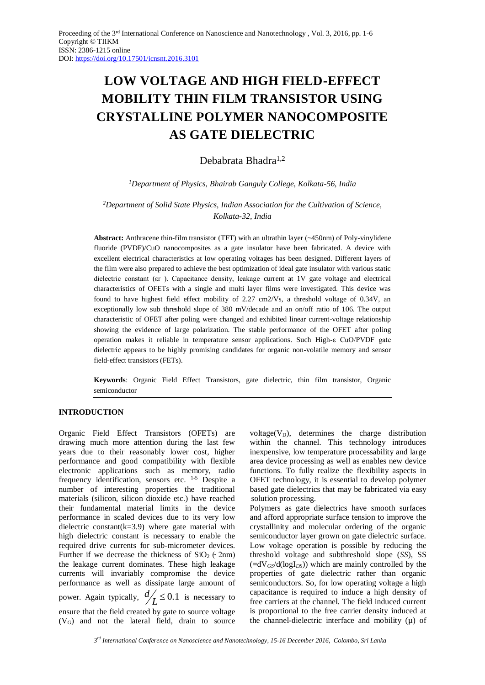# **LOW VOLTAGE AND HIGH FIELD-EFFECT MOBILITY THIN FILM TRANSISTOR USING CRYSTALLINE POLYMER NANOCOMPOSITE AS GATE DIELECTRIC**

Debabrata Bhadra1,2

*<sup>1</sup>Department of Physics, Bhairab Ganguly College, Kolkata-56, India*

*<sup>2</sup>Department of Solid State Physics, Indian Association for the Cultivation of Science, Kolkata-32, India*

**Abstract:** Anthracene thin-film transistor (TFT) with an ultrathin layer (~450nm) of Poly-vinylidene fluoride (PVDF)/CuO nanocomposites as a gate insulator have been fabricated. A device with excellent electrical characteristics at low operating voltages has been designed. Different layers of the film were also prepared to achieve the best optimization of ideal gate insulator with various static dielectric constant (εr ). Capacitance density, leakage current at 1V gate voltage and electrical characteristics of OFETs with a single and multi layer films were investigated. This device was found to have highest field effect mobility of 2.27 cm2/Vs, a threshold voltage of 0.34V, an exceptionally low sub threshold slope of 380 mV/decade and an on/off ratio of 106. The output characteristic of OFET after poling were changed and exhibited linear current-voltage relationship showing the evidence of large polarization. The stable performance of the OFET after poling operation makes it reliable in temperature sensor applications. Such High-ε CuO/PVDF gate dielectric appears to be highly promising candidates for organic non-volatile memory and sensor field-effect transistors (FETs).

**Keywords**: Organic Field Effect Transistors, gate dielectric, thin film transistor, Organic semiconductor

#### **INTRODUCTION**

Organic Field Effect Transistors (OFETs) are drawing much more attention during the last few years due to their reasonably lower cost, higher performance and good compatibility with flexible electronic applications such as memory, radio frequency identification, sensors etc.  $1-5$  Despite a number of interesting properties the traditional materials (silicon, silicon dioxide etc.) have reached their fundamental material limits in the device performance in scaled devices due to its very low dielectric constant( $k=3.9$ ) where gate material with high dielectric constant is necessary to enable the required drive currents for sub-micrometer devices. Further if we decrease the thickness of  $SiO<sub>2</sub>$  ( $\sim$  2nm) the leakage current dominates. These high leakage currents will invariably compromise the device performance as well as dissipate large amount of  $L \leq 0.1$  is necessary to *d* power. Again typically, ensure that the field created by gate to source voltage  $(V_G)$  and not the lateral field, drain to source

voltage( $V_D$ ), determines the charge distribution within the channel. This technology introduces inexpensive, low temperature processability and large area device processing as well as enables new device functions. To fully realize the flexibility aspects in OFET technology, it is essential to develop polymer based gate dielectrics that may be fabricated via easy solution processing.

Polymers as gate dielectrics have smooth surfaces and afford appropriate surface tension to improve the crystallinity and molecular ordering of the organic semiconductor layer grown on gate dielectric surface. Low voltage operation is possible by reducing the threshold voltage and subthreshold slope (*SS*), SS  $(=\frac{dV_{GS}}{d(\log I_{DS})})$  which are mainly controlled by the properties of gate dielectric rather than organic semiconductors. So, for low operating voltage a high capacitance is required to induce a high density of free carriers at the channel. The field induced current is proportional to the free carrier density induced at the channel-dielectric interface and mobility (µ) of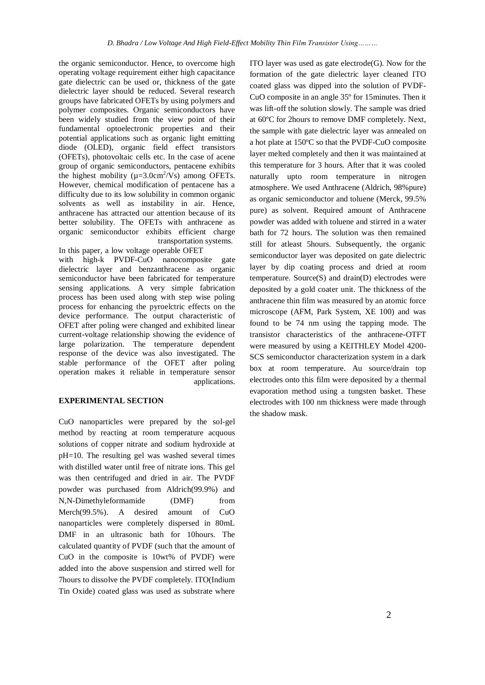the organic semiconductor. Hence, to overcome high operating voltage requirement either high capacitance gate dielectric can be used or, thickness of the gate dielectric layer should be reduced. Several research groups have fabricated OFETs by using polymers and polymer composites. Organic semiconductors have been widely studied from the view point of their fundamental optoelectronic properties and their potential applications such as organic light emitting diode (OLED), organic field effect transistors (OFETs), photovoltaic cells etc. In the case of acene group of organic semiconductors, pentacene exhibits the highest mobility ( $\mu$ =3.0cm<sup>2</sup>/Vs) among OFETs. However, chemical modification of pentacene has a difficulty due to its low solubility in common organic solvents as well as instability in air. Hence, anthracene has attracted our attention because of its better solubility. The OFETs with anthracene as organic semiconductor exhibits efficient charge transportation systems.

In this paper, a low voltage operable OFET with high-k PVDF-CuO nanocomposite gate dielectric layer and benzanthracene as organic semiconductor have been fabricated for temperature sensing applications. A very simple fabrication process has been used along with step wise poling process for enhancing the pyroelctric effects on the device performance. The output characteristic of OFET after poling were changed and exhibited linear current-voltage relationship showing the evidence of large polarization. The temperature dependent response of the device was also investigated. The stable performance of the OFET after poling operation makes it reliable in temperature sensor applications.

#### **EXPERIMENTAL SECTION**

CuO nanoparticles were prepared by the sol-gel method by reacting at room temperature acquous solutions of copper nitrate and sodium hydroxide at pH=10. The resulting gel was washed several times with distilled water until free of nitrate ions. This gel was then centrifuged and dried in air. The PVDF powder was purchased from Aldrich(99.9%) and N,N-Dimethyleformamide (DMF) from Merch(99.5%). A desired amount of CuO nanoparticles were completely dispersed in 80mL DMF in an ultrasonic bath for 10hours. The calculated quantity of PVDF (such that the amount of CuO in the composite is 10wt% of PVDF) were added into the above suspension and stirred well for 7hours to dissolve the PVDF completely. ITO(Indium Tin Oxide) coated glass was used as substrate where

ITO layer was used as gate electrode(G). Now for the formation of the gate dielectric layer cleaned ITO coated glass was dipped into the solution of PVDF-CuO composite in an angle 35º for 15minutes. Then it was lift-off the solution slowly. The sample was dried at 60ºC for 2hours to remove DMF completely. Next, the sample with gate dielectric layer was annealed on a hot plate at 150ºC so that the PVDF-CuO composite layer melted completely and then it was maintained at this temperature for 3 hours. After that it was cooled naturally upto room temperature in nitrogen atmosphere. We used Anthracene (Aldrich, 98%pure) as organic semiconductor and toluene (Merck, 99.5% pure) as solvent. Required amount of Anthracene powder was added with toluene and stirred in a water bath for 72 hours. The solution was then remained still for atleast 5hours. Subsequently, the organic semiconductor layer was deposited on gate dielectric layer by dip coating process and dried at room temperature. Source(S) and drain(D) electrodes were deposited by a gold coater unit. The thickness of the anthracene thin film was measured by an atomic force microscope (AFM, Park System, XE 100) and was found to be 74 nm using the tapping mode. The transistor characteristics of the anthracene-OTFT were measured by using a KEITHLEY Model 4200- SCS semiconductor characterization system in a dark box at room temperature. Au source/drain top electrodes onto this film were deposited by a thermal evaporation method using a tungsten basket. These electrodes with 100 nm thickness were made through the shadow mask.*.*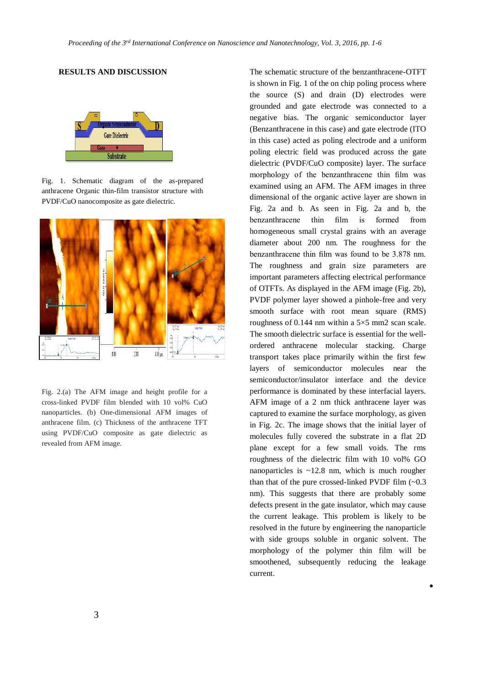#### **RESULTS AND DISCUSSION** The schematic structure of the benzanthracene-OTFT



Fig. 1. Schematic diagram of the as-prepared anthracene Organic thin-film transistor structure with PVDF/CuO nanocomposite as gate dielectric.



Fig. 2.(a) The AFM image and height profile for a cross-linked PVDF film blended with 10 vol% CuO nanoparticles. (b) One-dimensional AFM images of anthracene film. (c) Thickness of the anthracene TFT using PVDF/CuO composite as gate dielectric as revealed from AFM image.

is shown in Fig. 1 of the on chip poling process where the source (S) and drain (D) electrodes were grounded and gate electrode was connected to a negative bias. The organic semiconductor layer (Benzanthracene in this case) and gate electrode (ITO in this case) acted as poling electrode and a uniform poling electric field was produced across the gate dielectric (PVDF/CuO composite) layer. The surface morphology of the benzanthracene thin film was examined using an AFM. The AFM images in three dimensional of the organic active layer are shown in Fig. 2a and b. As seen in Fig. 2a and b, the benzanthracene thin film is formed from homogeneous small crystal grains with an average diameter about 200 nm. The roughness for the benzanthracene thin film was found to be 3.878 nm. The roughness and grain size parameters are important parameters affecting electrical performance of OTFTs. As displayed in the AFM image (Fig. 2b), PVDF polymer layer showed a pinhole-free and very smooth surface with root mean square (RMS) roughness of 0.144 nm within a  $5\times5$  mm2 scan scale. The smooth dielectric surface is essential for the wellordered anthracene molecular stacking. Charge transport takes place primarily within the first few layers of semiconductor molecules near the semiconductor/insulator interface and the device performance is dominated by these interfacial layers. AFM image of a 2 nm thick anthracene layer was captured to examine the surface morphology, as given in Fig. 2c. The image shows that the initial layer of molecules fully covered the substrate in a flat 2D plane except for a few small voids. The rms roughness of the dielectric film with 10 vol% GO nanoparticles is  $\sim$ 12.8 nm, which is much rougher than that of the pure crossed-linked PVDF film  $(-0.3)$ nm). This suggests that there are probably some defects present in the gate insulator, which may cause the current leakage. This problem is likely to be resolved in the future by engineering the nanoparticle with side groups soluble in organic solvent. The morphology of the polymer thin film will be smoothened, subsequently reducing the leakage current.

 $\bullet$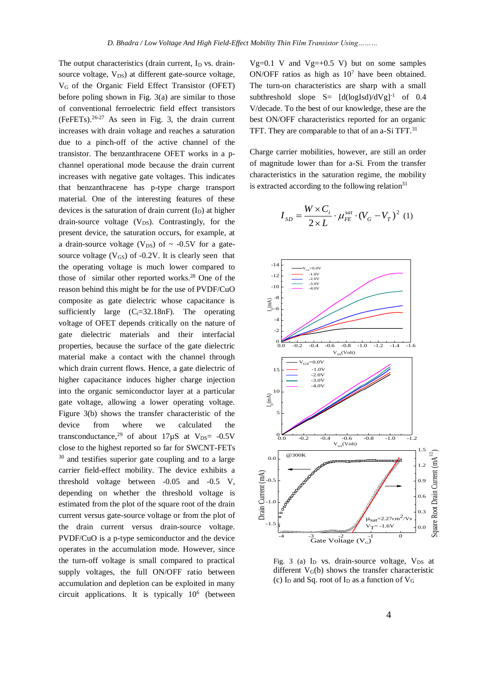The output characteristics (drain current,  $I_D$  vs. drainsource voltage,  $V_{DS}$ ) at different gate-source voltage, VG of the Organic Field Effect Transistor (OFET) before poling shown in Fig. 3(a) are similar to those of conventional ferroelectric field effect transistors  $(FeFETs).<sup>26-27</sup>$  As seen in Fig. 3, the drain current increases with drain voltage and reaches a saturation due to a pinch-off of the active channel of the transistor. The benzanthracene OFET works in a pchannel operational mode because the drain current increases with negative gate voltages. This indicates that benzanthracene has p-type charge transport material. One of the interesting features of these devices is the saturation of drain current  $(I_D)$  at higher drain-source voltage  $(V_{DS})$ . Contrastingly, for the present device, the saturation occurs, for example, at a drain-source voltage ( $V_{DS}$ ) of  $\sim$  -0.5V for a gatesource voltage  $(V_{GS})$  of -0.2V. It is clearly seen that the operating voltage is much lower compared to those of similar other reported works.<sup>28</sup> One of the reason behind this might be for the use of PVDF/CuO composite as gate dielectric whose capacitance is sufficiently large  $(C_i=32.18nF)$ . The operating voltage of OFET depends critically on the nature of gate dielectric materials and their interfacial properties, because the surface of the gate dielectric material make a contact with the channel through which drain current flows. Hence, a gate dielectric of higher capacitance induces higher charge injection into the organic semiconductor layer at a particular gate voltage, allowing a lower operating voltage. Figure 3(b) shows the transfer characteristic of the device from where we calculated the transconductance,<sup>29</sup> of about  $17 \mu S$  at  $V_{DS}$  = -0.5V close to the highest reported so far for SWCNT-FETs <sup>30</sup> and testifies superior gate coupling and to a large carrier field-effect mobility. The device exhibits a threshold voltage between -0.05 and -0.5 V, depending on whether the threshold voltage is estimated from the plot of the square root of the drain current versus gate-source voltage or from the plot of the drain current versus drain-source voltage. PVDF/CuO is a p-type semiconductor and the device operates in the accumulation mode. However, since the turn-off voltage is small compared to practical supply voltages, the full ON/OFF ratio between accumulation and depletion can be exploited in many circuit applications. It is typically  $10^6$  (between

 $Vg=0.1$  V and  $Vg=0.5$  V) but on some samples  $ON/OFF$  ratios as high as  $10<sup>7</sup>$  have been obtained. The turn-on characteristics are sharp with a small subthreshold slope  $S = [d(logIsd)/dVg]^{-1}$  of 0.4 V/decade. To the best of our knowledge, these are the best ON/OFF characteristics reported for an organic TFT. They are comparable to that of an a-Si TFT.<sup>31</sup>

Charge carrier mobilities, however, are still an order of magnitude lower than for a-Si. From the transfer characteristics in the saturation regime, the mobility is extracted according to the following relation $31$ 

$$
I_{SD} = \frac{W \times C_i}{2 \times L} \cdot \mu_{FE}^{sat} \cdot (V_G - V_T)^2
$$
 (1)



Fig. 3 (a)  $I_D$  vs. drain-source voltage,  $V_{DS}$  at different  $V<sub>G</sub>(b)$  shows the transfer characteristic (c)  $I_D$  and Sq. root of  $I_D$  as a function of  $V_G$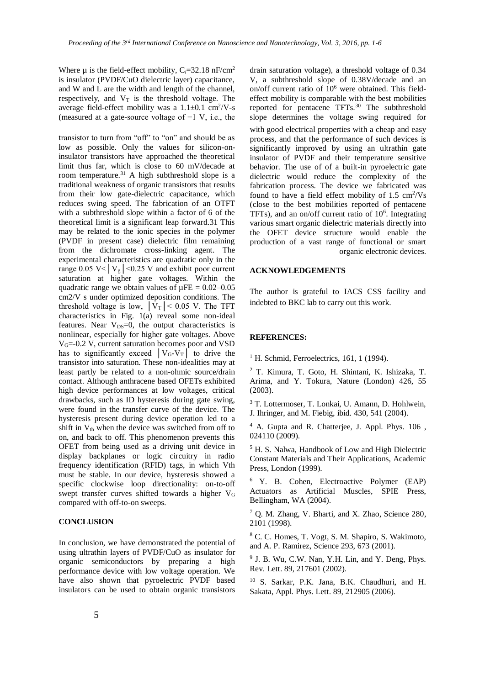Where  $\mu$  is the field-effect mobility, C<sub>i</sub>=32.18 nF/cm<sup>2</sup> is insulator (PVDF/CuO dielectric layer) capacitance, and W and L are the width and length of the channel, respectively, and  $V_T$  is the threshold voltage. The average field-effect mobility was a  $1.1 \pm 0.1$  cm<sup>2</sup>/V-s (measured at a gate-source voltage of −1 V, i.e., the

transistor to turn from "off" to "on" and should be as low as possible. Only the values for silicon-oninsulator transistors have approached the theoretical limit thus far, which is close to 60 mV/decade at room temperature.<sup>31</sup> A high subthreshold slope is a traditional weakness of organic transistors that results from their low gate-dielectric capacitance, which reduces swing speed. The fabrication of an OTFT with a subthreshold slope within a factor of 6 of the theoretical limit is a significant leap forward.31 This may be related to the ionic species in the polymer (PVDF in present case) dielectric film remaining from the dichromate cross-linking agent. The experimental characteristics are quadratic only in the range 0.05 V<  $|V_g|$  < 0.25 V and exhibit poor current saturation at higher gate voltages. Within the quadratic range we obtain values of  $\mu$ FE = 0.02–0.05 cm2/V s under optimized deposition conditions. The threshold voltage is low,  $|\bar{V}_T|$  < 0.05 V. The TFT characteristics in Fig. 1(a) reveal some non-ideal features. Near  $V_{DS}=0$ , the output characteristics is nonlinear, especially for higher gate voltages. Above VG=-0.2 V, current saturation becomes poor and VSD has to significantly exceed  $|V_{G}-V_{T}|$  to drive the transistor into saturation. These non-idealities may at least partly be related to a non-ohmic source/drain contact. Although anthracene based OFETs exhibited high device performances at low voltages, critical drawbacks, such as ID hysteresis during gate swing, were found in the transfer curve of the device. The hysteresis present during device operation led to a shift in  $V_{th}$  when the device was switched from off to on, and back to off. This phenomenon prevents this OFET from being used as a driving unit device in display backplanes or logic circuitry in radio frequency identification (RFID) tags, in which Vth must be stable. In our device, hysteresis showed a specific clockwise loop directionality: on-to-off swept transfer curves shifted towards a higher V<sup>G</sup> compared with off-to-on sweeps.

#### **CONCLUSION**

In conclusion, we have demonstrated the potential of using ultrathin layers of PVDF/CuO as insulator for organic semiconductors by preparing a high performance device with low voltage operation. We have also shown that pyroelectric PVDF based insulators can be used to obtain organic transistors

drain saturation voltage), a threshold voltage of 0.34 V, a subthreshold slope of 0.38V/decade and an on/off current ratio of 10<sup>6</sup> were obtained. This fieldeffect mobility is comparable with the best mobilities reported for pentacene TFTs.<sup>30</sup> The subthreshold slope determines the voltage swing required for

with good electrical properties with a cheap and easy process, and that the performance of such devices is significantly improved by using an ultrathin gate insulator of PVDF and their temperature sensitive behavior. The use of of a built-in pyroelectric gate dielectric would reduce the complexity of the fabrication process. The device we fabricated was found to have a field effect mobility of  $1.5 \text{ cm}^2/\text{Vs}$ (close to the best mobilities reported of pentacene TFTs), and an on/off current ratio of  $10<sup>6</sup>$ . Integrating various smart organic dielectric materials directly into the OFET device structure would enable the production of a vast range of functional or smart organic electronic devices.

#### **ACKNOWLEDGEMENTS**

The author is grateful to IACS CSS facility and indebted to BKC lab to carry out this work.

#### **REFERENCES:**

 $<sup>1</sup>$  H. Schmid, Ferroelectrics, 161, 1 (1994).</sup>

<sup>2</sup> T. Kimura, T. Goto, H. Shintani, K. Ishizaka, T. Arima, and Y. Tokura, Nature (London) 426, 55 (2003).

<sup>3</sup> T. Lottermoser, T. Lonkai, U. Amann, D. Hohlwein, J. Ihringer, and M. Fiebig, ibid. 430, 541 (2004).

<sup>4</sup> A. Gupta and R. Chatterjee, J. Appl. Phys. 106 , 024110 (2009).

<sup>5</sup> H. S. Nalwa, Handbook of Low and High Dielectric Constant Materials and Their Applications, Academic Press, London (1999).

<sup>6</sup>Y. B. Cohen, Electroactive Polymer (EAP) Actuators as Artificial Muscles, SPIE Press, Bellingham, WA (2004).

<sup>7</sup> Q. M. Zhang, V. Bharti, and X. Zhao, Science 280, 2101 (1998).

<sup>8</sup> C. C. Homes, T. Vogt, S. M. Shapiro, S. Wakimoto, and A. P. Ramirez, Science 293, 673 (2001).

<sup>9</sup> J. B. Wu, C.W. Nan, Y.H. Lin, and Y. Deng, Phys. Rev. Lett. 89, 217601 (2002).

<sup>10</sup> S. Sarkar, P.K. Jana, B.K. Chaudhuri, and H. Sakata, Appl. Phys. Lett. 89, 212905 (2006).